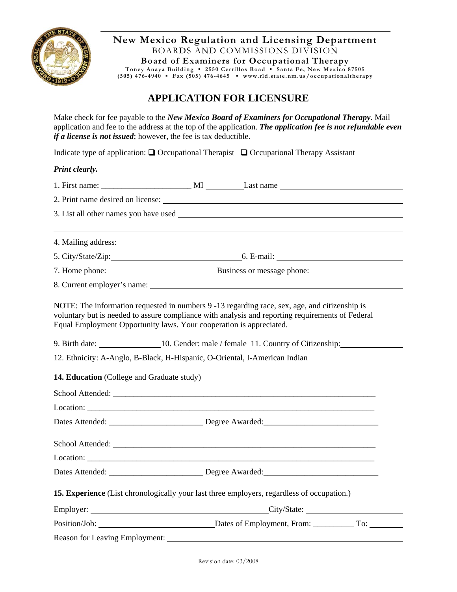

**New Mexico Regulation and Licensing Department**  BOARDS AND COMMISSIONS DIVISION **Board of Examiners for Occupational Therapy Toney Anaya Building ▪ 2550 Cerrillos Road ▪ Santa Fe, New Mexico 87505** 

**(505) 476-4940 ▪ Fax (505) 476-4645 ▪ www.rld.state.nm.us/occupationaltherapy**

# **APPLICATION FOR LICENSURE**

Make check for fee payable to the *New Mexico Board of Examiners for Occupational Therapy*. Mail application and fee to the address at the top of the application. *The application fee is not refundable even if a license is not issued*; however, the fee is tax deductible.

Indicate type of application:  $\Box$  Occupational Therapist  $\Box$  Occupational Therapy Assistant

#### *Print clearly.*

| Equal Employment Opportunity laws. Your cooperation is appreciated.                        |  | NOTE: The information requested in numbers 9 -13 regarding race, sex, age, and citizenship is<br>voluntary but is needed to assure compliance with analysis and reporting requirements of Federal                              |  |  |
|--------------------------------------------------------------------------------------------|--|--------------------------------------------------------------------------------------------------------------------------------------------------------------------------------------------------------------------------------|--|--|
|                                                                                            |  | 9. Birth date: 10. Gender: male / female 11. Country of Citizenship:                                                                                                                                                           |  |  |
| 12. Ethnicity: A-Anglo, B-Black, H-Hispanic, O-Oriental, I-American Indian                 |  |                                                                                                                                                                                                                                |  |  |
| 14. Education (College and Graduate study)                                                 |  |                                                                                                                                                                                                                                |  |  |
|                                                                                            |  |                                                                                                                                                                                                                                |  |  |
|                                                                                            |  |                                                                                                                                                                                                                                |  |  |
|                                                                                            |  |                                                                                                                                                                                                                                |  |  |
|                                                                                            |  | School Attended: National Attended: National Attended: National Attended: National Attended: National Attended                                                                                                                 |  |  |
|                                                                                            |  |                                                                                                                                                                                                                                |  |  |
|                                                                                            |  |                                                                                                                                                                                                                                |  |  |
| 15. Experience (List chronologically your last three employers, regardless of occupation.) |  |                                                                                                                                                                                                                                |  |  |
|                                                                                            |  |                                                                                                                                                                                                                                |  |  |
|                                                                                            |  |                                                                                                                                                                                                                                |  |  |
|                                                                                            |  | Reason for Leaving Employment: New York 1989. The Second State of the Second State of the Second State of the Second State of the Second State of the Second State of the Second State of the Second State of the Second State |  |  |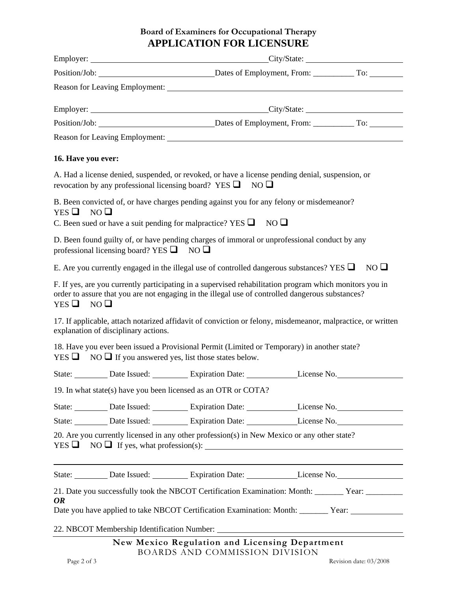## **Board of Examiners for Occupational Therapy APPLICATION FOR LICENSURE**

| 16. Have you ever:                                 |                                                                                                                                                                                                             |  |
|----------------------------------------------------|-------------------------------------------------------------------------------------------------------------------------------------------------------------------------------------------------------------|--|
|                                                    | A. Had a license denied, suspended, or revoked, or have a license pending denial, suspension, or<br>revocation by any professional licensing board? YES $\Box$ NO $\Box$                                    |  |
| YES $\Box$ NO $\Box$                               | B. Been convicted of, or have charges pending against you for any felony or misdemeanor?                                                                                                                    |  |
|                                                    | C. Been sued or have a suit pending for malpractice? YES $\Box$ NO $\Box$                                                                                                                                   |  |
| professional licensing board? YES $\Box$ NO $\Box$ | D. Been found guilty of, or have pending charges of immoral or unprofessional conduct by any                                                                                                                |  |
|                                                    | E. Are you currently engaged in the illegal use of controlled dangerous substances? YES $\Box$ NO $\Box$                                                                                                    |  |
| YES $\Box$ NO $\Box$                               | F. If yes, are you currently participating in a supervised rehabilitation program which monitors you in<br>order to assure that you are not engaging in the illegal use of controlled dangerous substances? |  |
| explanation of disciplinary actions.               | 17. If applicable, attach notarized affidavit of conviction or felony, misdemeanor, malpractice, or written                                                                                                 |  |
|                                                    | 18. Have you ever been issued a Provisional Permit (Limited or Temporary) in another state?<br>YES $\Box$ NO $\Box$ If you answered yes, list those states below.                                           |  |
|                                                    | State: Date Issued: Expiration Date: License No.                                                                                                                                                            |  |
|                                                    | 19. In what state(s) have you been licensed as an OTR or COTA?                                                                                                                                              |  |
|                                                    | State: Date Issued: Expiration Date: License No.                                                                                                                                                            |  |
|                                                    | State: Date Issued: Expiration Date: License No.                                                                                                                                                            |  |
|                                                    | 20. Are you currently licensed in any other profession(s) in New Mexico or any other state?<br>$YES \t{D} \t{NO} \t{I}$ If yes, what profession(s):                                                         |  |
|                                                    | State: Date Issued: Expiration Date: License No.                                                                                                                                                            |  |
| OR                                                 | 21. Date you successfully took the NBCOT Certification Examination: Month: ______ Year: ________<br>Date you have applied to take NBCOT Certification Examination: Month: ______ Year: ________________     |  |
|                                                    |                                                                                                                                                                                                             |  |
|                                                    | New Mexico Regulation and Licensing Department                                                                                                                                                              |  |
|                                                    | BOARDS AND COMMISSION DIVISION                                                                                                                                                                              |  |